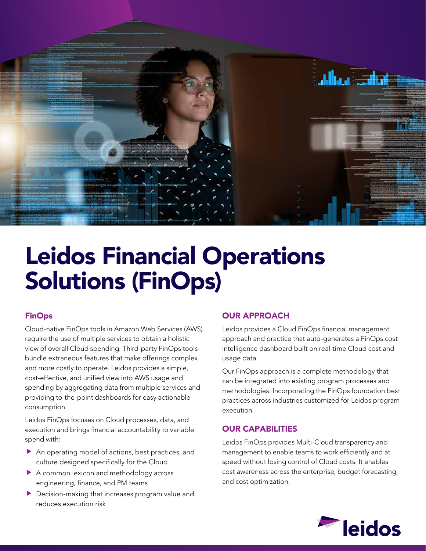

# Leidos Financial Operations Solutions (FinOps)

# FinOps

Cloud-native FinOps tools in Amazon Web Services (AWS) require the use of multiple services to obtain a holistic view of overall Cloud spending. Third-party FinOps tools bundle extraneous features that make offerings complex and more costly to operate. Leidos provides a simple, cost-effective, and unified view into AWS usage and spending by aggregating data from multiple services and providing to-the-point dashboards for easy actionable consumption.

Leidos FinOps focuses on Cloud processes, data, and execution and brings financial accountability to variable spend with:

- $\blacktriangleright$  An operating model of actions, best practices, and culture designed specifically for the Cloud
- $\blacktriangleright$  A common lexicon and methodology across engineering, finance, and PM teams
- $\blacktriangleright$  Decision-making that increases program value and reduces execution risk

### OUR APPROACH

Leidos provides a Cloud FinOps financial management approach and practice that auto-generates a FinOps cost intelligence dashboard built on real-time Cloud cost and usage data.

Our FinOps approach is a complete methodology that can be integrated into existing program processes and methodologies. Incorporating the FinOps foundation best practices across industries customized for Leidos program execution.

# OUR CAPABILITIES

Leidos FinOps provides Multi-Cloud transparency and management to enable teams to work efficiently and at speed without losing control of Cloud costs. It enables cost awareness across the enterprise, budget forecasting, and cost optimization.